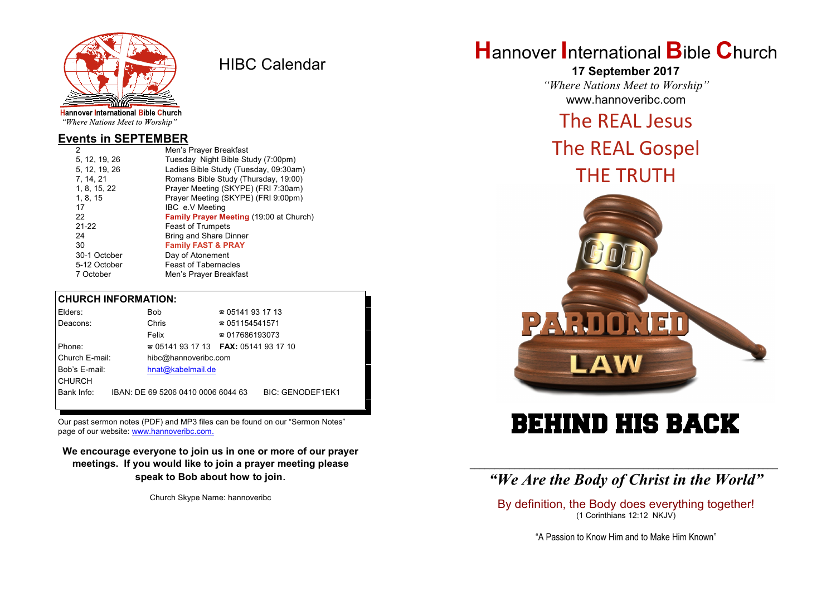

HIBC Calendar

"Where Nations Meet to Worship"

### **Events in SEPTEMBER**

| 2             | Men's Prayer Breakfast                  |
|---------------|-----------------------------------------|
| 5, 12, 19, 26 | Tuesday Night Bible Study (7:00pm)      |
| 5, 12, 19, 26 | Ladies Bible Study (Tuesday, 09:30am)   |
| 7, 14, 21     | Romans Bible Study (Thursday, 19:00)    |
| 1, 8, 15, 22  | Prayer Meeting (SKYPE) (FRI 7:30am)     |
| 1, 8, 15      | Prayer Meeting (SKYPE) (FRI 9:00pm)     |
| 17            | IBC e.V Meeting                         |
| 22            | Family Prayer Meeting (19:00 at Church) |
| $21 - 22$     | <b>Feast of Trumpets</b>                |
| 24            | <b>Bring and Share Dinner</b>           |
| 30            | <b>Family FAST &amp; PRAY</b>           |
| 30-1 October  | Day of Atonement                        |
| 5-12 October  | <b>Feast of Tabernacles</b>             |
| 7 October     | Men's Prayer Breakfast                  |

### **CHURCH INFORMATION:**

| Elders:        | Bob                                      | $\approx 05141931713$  |                         |
|----------------|------------------------------------------|------------------------|-------------------------|
| Deacons:       | Chris                                    | $\approx 051154541571$ |                         |
|                | Felix                                    | $\approx 017686193073$ |                         |
| Phone:         | $\approx 05141931713$ FAX: 0514193 17 10 |                        |                         |
| Church E-mail: | hibc@hannoveribc.com                     |                        |                         |
| Bob's E-mail:  | hnat@kabelmail.de                        |                        |                         |
| <b>CHURCH</b>  |                                          |                        |                         |
| Bank Info:     | IBAN: DE 69 5206 0410 0006 6044 63       |                        | <b>BIC: GENODEF1EK1</b> |
|                |                                          |                        |                         |

Our past sermon notes (PDF) and MP3 files can be found on our "Sermon Notes" page of our website: [www.hannoveribc.com.](http://www.hannoveribc.com.)

**We encourage everyone to join us in one or more of our prayer meetings. If you would like to join a prayer meeting please speak to Bob about how to join**.

Church Skype Name: hannoveribc

# **H**annover **I**nternational **B**ible **C**hurch

**17 September 2017** *"Where Nations Meet to Worship"* www.hannoveribc.com

# The REAL Jesus

# The REAL Gospel



# BEHIND HIS BACK

## \_\_\_\_\_\_\_\_\_\_\_\_\_\_\_\_\_\_\_\_\_\_\_\_\_\_\_\_\_\_\_\_\_\_\_\_\_\_\_\_\_\_\_\_\_\_\_\_\_\_\_\_\_\_\_\_\_\_\_\_\_\_ *"We Are the Body of Christ in the World"*

By definition, the Body does everything together! (1 Corinthians 12:12 NKJV)

"A Passion to Know Him and to Make Him Known"